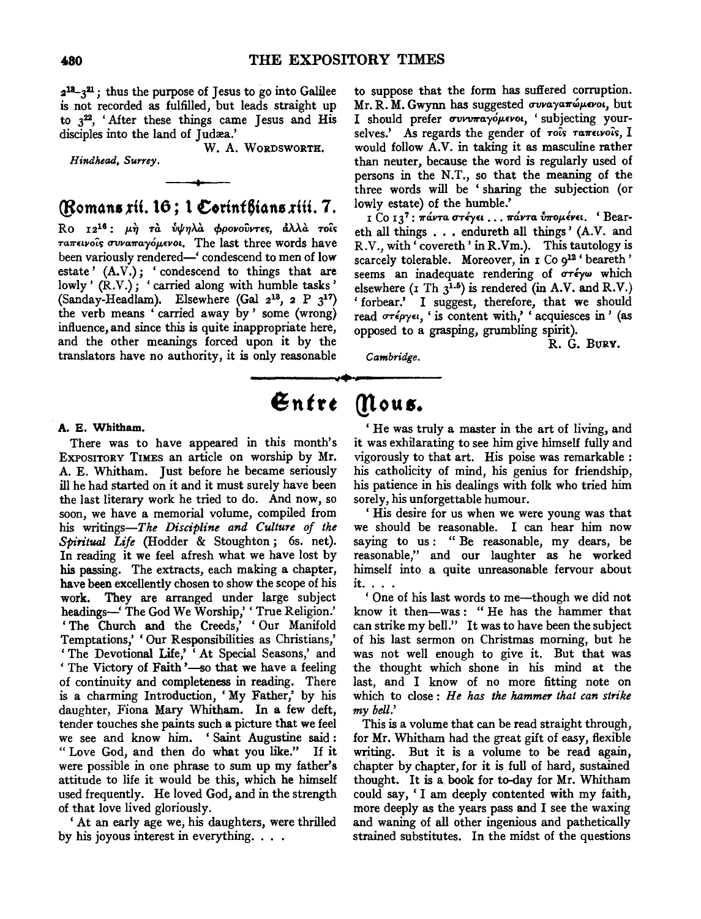$2^{18}-3^{21}$ ; thus the purpose of Jesus to go into Galilee is not recorded as fulfilled, but leads straight up to  $3^{22}$ , 'After these things came Jesus and His disciples into the land of Judæa.'

W. A. WORDSWORTH.

*Hindhead, Surrey.* 

# (Romans xii. 16; 1 Corinthians xiii. 7.

Ro 12<sup>16</sup>: μη τα ύψηλα φρονούντες, άλλα τοίς Taπεινοίς συναπαγόμενοι. The last three words have been variously rendered-' condescend to men of low estate'  $(A.V.)$ ; 'condescend to things that are lowly' (R.V.); 'carried along with humble tasks' (Sanday-Headlam). Elsewhere (Gal  $2^{13}$ , 2 P  $3^{17}$ ) the verb means 'carried away by' some (wrong) influence, and since this is quite inappropriate here, and the other meanings forced upon it by the translators have no authority, it is only reasonable

to suppose that the form has suffered corruption. Mr. R. M. Gwynn has suggested *συναγαπώμενοι*, but I should prefer *συνυπαγόμενοι*, 'subjecting yourselves.' As regards the gender of rois ranewois, I would follow A.V. in taking it as masculine rather than neuter, because the word is regularly used of persons in the N.T., so that the meaning of the three words will be 'sharing the subjection (or lowly estate) of the humble.'

I Co 13<sup>7</sup>: πάντα στέγει ... πάντα υπομένει. 'Beareth all things . . . endureth all things' (A.V. and R.V., with' covereth' in R.Vm.). This tautology is scarcely tolerable. Moreover, in  $I$  Co  $q^{12}$  ' beareth' seems an inadequate rendering of  $\sigma\tau\epsilon\gamma\omega$  which elsewhere ( $I$  Th  $3^{1.5}$ ) is rendered (in A.V. and R.V.) 'forbear.' I suggest, therefore, that we should read *UTtpye,,* 'is content with,' 'acquiesces in' (as opposed to a grasping, grumbling spirit).

*Cambridge.* 

# $\mathfrak{En}$ tre *(flous.*

A. E. Whitham.

There was to have appeared in this month's EXPOSITORY TIMES an article on worship by Mr. A. E. Whitham. Just before he became seriously ill he had started on it and it must surely have been the last literary work he tried to do. And now, so soon, we have a memorial volume, compiled from his writings-The *Discipline and Culture of the Spiritual Life* (Hodder & Stoughton ; 6s. net). In reading it we feel afresh what we have lost by his passing. The extracts, each making a chapter, have been excellently chosen to show the scope of his work. They are arranged under large subject headings-' The God We Worship,'' True Religion.' The Church and the Creeds,' 'Our Manifold Temptations,' 'Our Responsibilities as Christians,' 'The Devotional Life,' At Special Seasons,' and 'The Victory of Faith'-so that we have a feeling of continuity and completeness in reading. There is a charming Introduction, 'My Father,' by his daughter, Fiona Mary Whitham. In a few deft, tender touches she paints such a picture that we feel we see and know him. 'Saint Augustine said: "Love God, and then do what you like." If it were possible in one phrase to sum up my father's attitude to life it would be this, which he himself used frequently. He loved God, and in the strength of that love lived gloriously.

At an early age we, his daughters, were thrilled by his joyous interest in everything. . . .

If the was truly a master in the art of living, and it was exhilarating to see him give himself fully and vigorously to that art. His poise was remarkable : his catholicity of mind, his genius for friendship, his patience in his dealings with folk who tried him sorely, his unforgettable humour.

<sup>1</sup>His desire for us when we were young was that we should be reasonable. I can hear him now saying to us: "Be reasonable, my dears, be reasonable,'' and our laughter as he worked himself into a quite unreasonable fervour about it. . . .

<sup>1</sup>One of his last words to me-though we did not know it then-was : " He has the hammer that can strike my bell." It was to have been the subject of his last sermon on Christmas morning, but he was not well enough to give it. But that was the thought which shone in his mind at the last, and I know of no more fitting note on which to close : *He has the hammer that can strike my bell.'* 

This is a volume that can be read straight through, for Mr. Whitham had the great gift of easy, flexible writing. But it is a volume to be read again, chapter by chapter, for it is full of hard, sustained thought. It is a book for to-day for Mr. Whitham could say, 'I am deeply contented with my faith, more deeply as the years pass and I see the waxing and waning of all other ingenious and pathetically strained substitutes. In the midst of the questions

R. G. BuRY.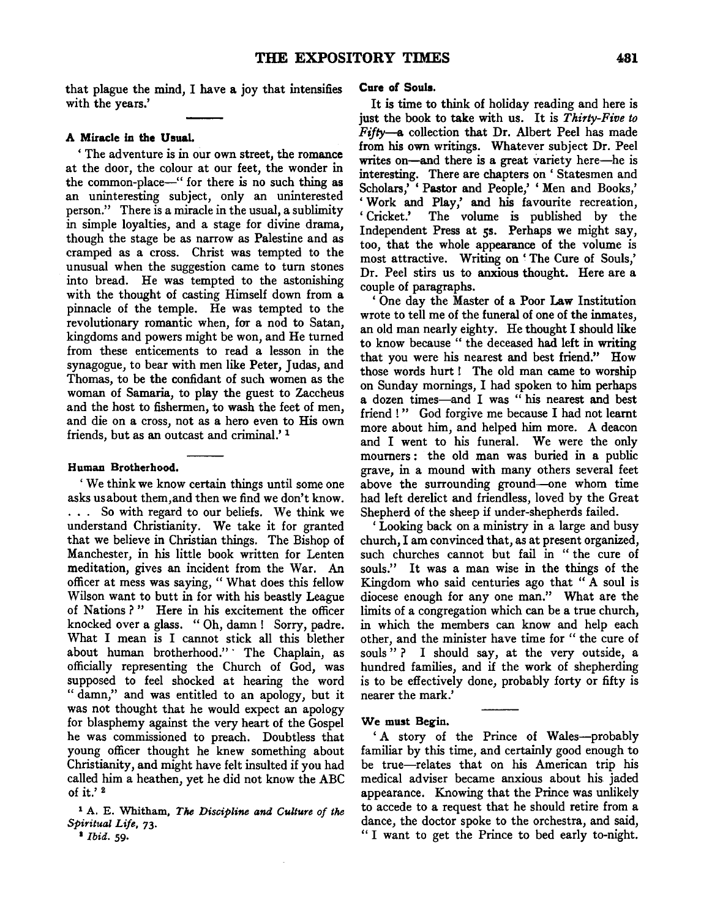that plague the mind, I have a joy that intensifies with the years.'

# A Miracle in the UsuaL

' The adventure is in our own street, the romance at the door, the colour at our feet, the wonder in the common-place-" for there is no such thing as an uninteresting subject, only an uninterested person." There is a miracle in the usual, a sublimity in simple loyalties, and a stage for divine drama, though the stage be as narrow as Palestine and as cramped as a cross. Christ was tempted to the unusual when the suggestion came to turn stones into bread. He was tempted to the astonishing with the thought of casting Himself down from a pinnacle of the temple. He was tempted to the revolutionary romantic when, for a nod to Satan, kingdoms and powers might be won, and He turned from these enticements to read a lesson in the synagogue, to bear with men like Peter, Judas, and Thomas, to be the confidant of such women as the woman of Samaria, to play the guest to Zaccheus and the host to fishermen, to wash the feet of men, and die on a cross, not as a hero even to His own friends, but as an outcast and criminal.' <sup>1</sup>

#### Human Brotherhood.

' We think we know certain things until some one asks us about them,and then we find we don't know. . . . So with regard to our beliefs. We think we understand Christianity. We take it for granted that we believe in Christian things. The Bishop of Manchester, in his little book written for Lenten meditation, gives an incident from the War. An officer at mess was saying, " What does this fellow Wilson want to butt in for with his beastly League of Nations?" Here in his excitement the officer knocked over a glass. " Oh, damn ! Sorry, padre. What I mean is I cannot stick all this blether about human brotherhood." The Chaplain, as officially representing the Church of God, was supposed to feel shocked at hearing the word " damn," and was entitled to an apology, but it was not thought that he would expect an apology for blasphemy against the very heart of the Gospel he was commissioned to preach. Doubtless that young officer thought he knew something about Christianity, and might have felt insulted if you had called him a heathen, yet he did not know the ABC of it.'<sup>2</sup>

1 A. E. Whitham, *The Discipline and Culture of the Spiritual Life,* 73·

<sup>I</sup>*Ibid.* 59·

#### Cure of Souls.

It is time to think of holiday reading and here is just the book to take with us. It is *Thirty-Five to Fifty-a* collection that Dr. Albert Peel has made from his own writings. Whatever subject Dr. Peel writes on-and there is a great variety here-he is interesting. There are chapters on ' Statesmen and Scholars,' ' Pastor and People,' ' Men and Books,' 'Work and Play,' and his favourite recreation, ' Cricket.' The volume is published by the Independent Press at 5s. Perhaps we might say, too, that the whole appearance of the volume is most attractive. Writing on' The Cure of Souls,' Dr. Peel stirs us to anxious thought. Here are a couple of paragraphs.

' One day the Master of a Poor Law Institution wrote to tell me of the funeral of one of the inmates, an old man nearly eighty. He thought I should like to know because " the deceased had left in writing that you were his nearest and best friend.'' How those words hurt ! The old man came to worship on Sunday mornings, I had spoken to him perhaps a dozen times-and I was " his nearest and best friend !" God forgive me because I had not learnt more about him, and helped him more. A deacon and I went to his funeral. We were the only mourners : the old man was buried in a public grave, in a mound with many others several feet above the surrounding ground-one whom time had left derelict and friendless, loved by the Great Shepherd of the sheep if under-shepherds failed.

' Looking back on a ministry in a large and busy church, I am convinced that, as at present organized, such churches cannot but fail in " the cure of souls.'' It was a man wise in the things of the Kingdom who said centuries ago that " A soul is diocese enough for any one man.'' What are the limits of a congregation which can be a true church, in which the members can know and help each other, and the minister have time for "the cure of souls "? I should say, at the very outside, a hundred families, and if the work of shepherding is to be effectively done, probably forty or fifty is nearer the mark.'

#### We must Begin.

'A story of the Prince of Wales---probably familiar by this time, and certainly good enough to be true-relates that on his American trip his medical adviser became anxious about his jaded appearance. Knowing that the Prince was unlikely to accede to a request that he should retire from a dance, the doctor spoke to the orchestra, and said, " I want to get the Prince to bed early to-night.